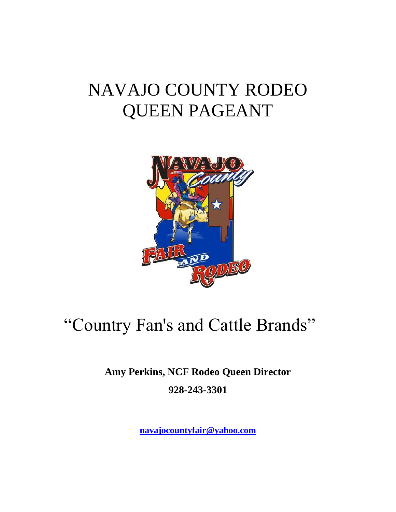# NAVAJO COUNTY RODEO QUEEN PAGEANT



## "Country Fan's and Cattle Brands"

**Amy Perkins, NCF Rodeo Queen Director 928-243-3301**

**[navajocountyfair@yahoo.com](mailto:navajocountyfair@yahoo.com)**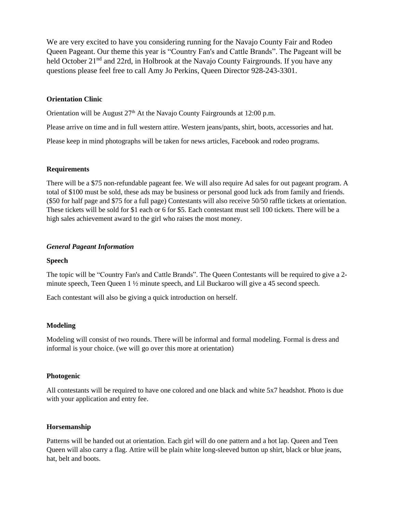We are very excited to have you considering running for the Navajo County Fair and Rodeo Queen Pageant. Our theme this year is "Country Fan's and Cattle Brands". The Pageant will be held October 21<sup>nd</sup> and 22rd, in Holbrook at the Navajo County Fairgrounds. If you have any questions please feel free to call Amy Jo Perkins, Queen Director 928-243-3301.

#### **Orientation Clinic**

Orientation will be August  $27<sup>th</sup>$  At the Navajo County Fairgrounds at 12:00 p.m.

Please arrive on time and in full western attire. Western jeans/pants, shirt, boots, accessories and hat.

Please keep in mind photographs will be taken for news articles, Facebook and rodeo programs.

#### **Requirements**

There will be a \$75 non-refundable pageant fee. We will also require Ad sales for out pageant program. A total of \$100 must be sold, these ads may be business or personal good luck ads from family and friends. (\$50 for half page and \$75 for a full page) Contestants will also receive 50/50 raffle tickets at orientation. These tickets will be sold for \$1 each or 6 for \$5. Each contestant must sell 100 tickets. There will be a high sales achievement award to the girl who raises the most money.

#### *General Pageant Information*

#### **Speech**

The topic will be "Country Fan's and Cattle Brands". The Queen Contestants will be required to give a 2 minute speech, Teen Queen 1 ½ minute speech, and Lil Buckaroo will give a 45 second speech.

Each contestant will also be giving a quick introduction on herself.

#### **Modeling**

Modeling will consist of two rounds. There will be informal and formal modeling. Formal is dress and informal is your choice. (we will go over this more at orientation)

#### **Photogenic**

All contestants will be required to have one colored and one black and white 5x7 headshot. Photo is due with your application and entry fee.

#### **Horsemanship**

Patterns will be handed out at orientation. Each girl will do one pattern and a hot lap. Queen and Teen Queen will also carry a flag. Attire will be plain white long-sleeved button up shirt, black or blue jeans, hat, belt and boots.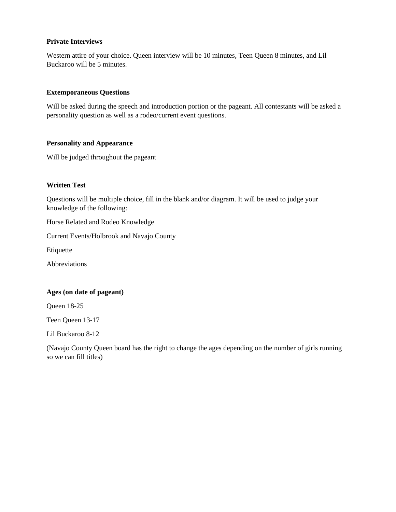#### **Private Interviews**

Western attire of your choice. Queen interview will be 10 minutes, Teen Queen 8 minutes, and Lil Buckaroo will be 5 minutes.

#### **Extemporaneous Questions**

Will be asked during the speech and introduction portion or the pageant. All contestants will be asked a personality question as well as a rodeo/current event questions.

#### **Personality and Appearance**

Will be judged throughout the pageant

#### **Written Test**

Questions will be multiple choice, fill in the blank and/or diagram. It will be used to judge your knowledge of the following:

Horse Related and Rodeo Knowledge

Current Events/Holbrook and Navajo County

Etiquette

Abbreviations

#### **Ages (on date of pageant)**

Queen 18-25

Teen Queen 13-17

Lil Buckaroo 8-12

(Navajo County Queen board has the right to change the ages depending on the number of girls running so we can fill titles)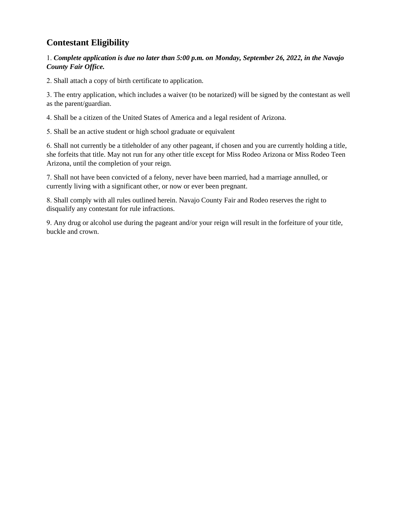### **Contestant Eligibility**

#### 1. *Complete application is due no later than 5:00 p.m. on Monday, September 26, 2022, in the Navajo County Fair Office.*

2. Shall attach a copy of birth certificate to application.

3. The entry application, which includes a waiver (to be notarized) will be signed by the contestant as well as the parent/guardian.

4. Shall be a citizen of the United States of America and a legal resident of Arizona.

5. Shall be an active student or high school graduate or equivalent

6. Shall not currently be a titleholder of any other pageant, if chosen and you are currently holding a title, she forfeits that title. May not run for any other title except for Miss Rodeo Arizona or Miss Rodeo Teen Arizona, until the completion of your reign.

7. Shall not have been convicted of a felony, never have been married, had a marriage annulled, or currently living with a significant other, or now or ever been pregnant.

8. Shall comply with all rules outlined herein. Navajo County Fair and Rodeo reserves the right to disqualify any contestant for rule infractions.

9. Any drug or alcohol use during the pageant and/or your reign will result in the forfeiture of your title, buckle and crown.